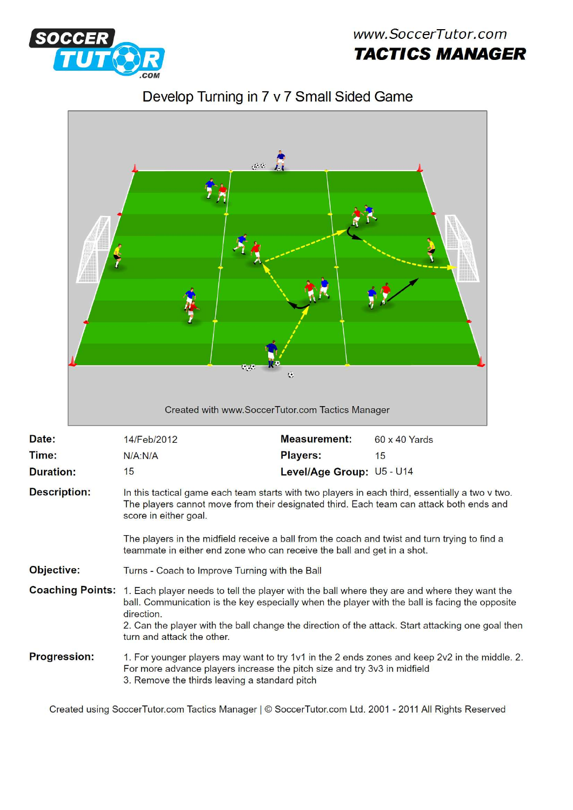

Г





|                         |                                                                                                                                                                                                                                                                                                                                                                                                 | $\mathcal{O}(G)$<br>$\mathbf{e}_{\mathbf{e}}$<br>$\ddot{\mathbf{c}}$<br>Created with www.SoccerTutor.com Tactics Manager |               |
|-------------------------|-------------------------------------------------------------------------------------------------------------------------------------------------------------------------------------------------------------------------------------------------------------------------------------------------------------------------------------------------------------------------------------------------|--------------------------------------------------------------------------------------------------------------------------|---------------|
| Date:                   | 14/Feb/2012                                                                                                                                                                                                                                                                                                                                                                                     | <b>Measurement:</b>                                                                                                      | 60 x 40 Yards |
| Time:                   | N/A: N/A                                                                                                                                                                                                                                                                                                                                                                                        | <b>Players:</b>                                                                                                          | 15            |
| <b>Duration:</b>        | 15                                                                                                                                                                                                                                                                                                                                                                                              | Level/Age Group: U5 - U14                                                                                                |               |
| <b>Description:</b>     | In this tactical game each team starts with two players in each third, essentially a two v two.<br>The players cannot move from their designated third. Each team can attack both ends and<br>score in either goal.<br>The players in the midfield receive a ball from the coach and twist and turn trying to find a<br>teammate in either end zone who can receive the ball and get in a shot. |                                                                                                                          |               |
| Objective:              | Turns - Coach to Improve Turning with the Ball                                                                                                                                                                                                                                                                                                                                                  |                                                                                                                          |               |
| <b>Coaching Points:</b> | 1. Each player needs to tell the player with the ball where they are and where they want the<br>ball. Communication is the key especially when the player with the ball is facing the opposite<br>direction.<br>2. Can the player with the ball change the direction of the attack. Start attacking one goal then<br>turn and attack the other.                                                 |                                                                                                                          |               |
| <b>Progression:</b>     | 1. For younger players may want to try 1v1 in the 2 ends zones and keep 2v2 in the middle. 2.<br>For more advance players increase the pitch size and try 3v3 in midfield<br>3. Remove the thirds leaving a standard pitch                                                                                                                                                                      |                                                                                                                          |               |

Created using SoccerTutor.com Tactics Manager | © SoccerTutor.com Ltd. 2001 - 2011 All Rights Reserved